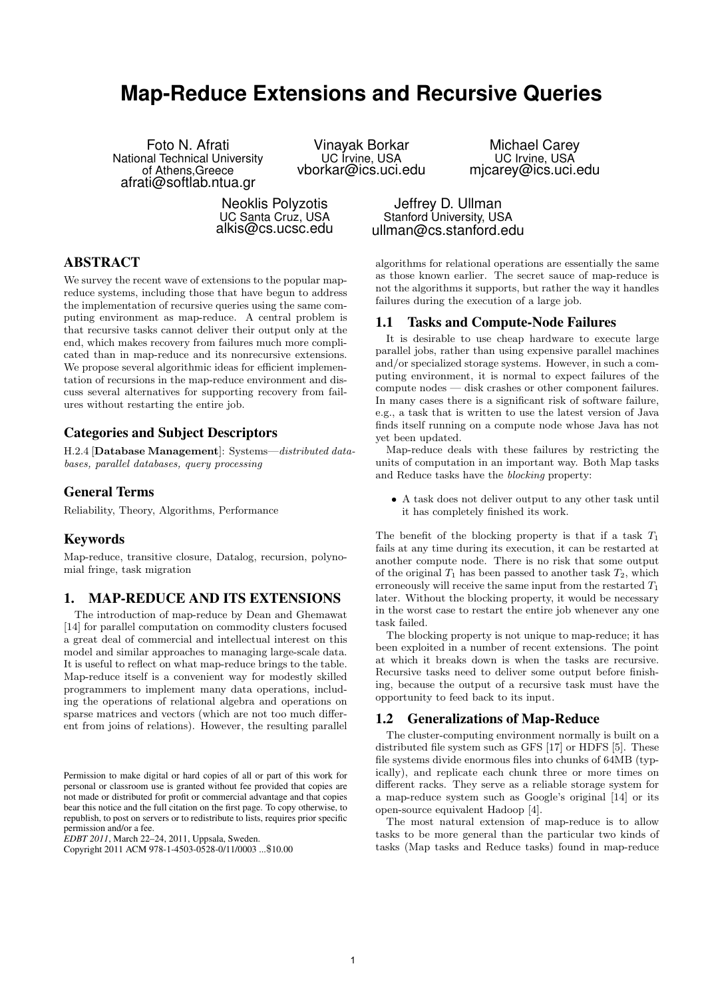# **Map-Reduce Extensions and Recursive Queries**

Foto N. Afrati National Technical University of Athens,Greece afrati@softlab.ntua.gr

Vinayak Borkar UC Irvine, USA vborkar@ics.uci.edu

Michael Carey UC Irvine, USA mjcarey@ics.uci.edu

Neoklis Polyzotis UC Santa Cruz, USA alkis@cs.ucsc.edu

# ABSTRACT

We survey the recent wave of extensions to the popular mapreduce systems, including those that have begun to address the implementation of recursive queries using the same computing environment as map-reduce. A central problem is that recursive tasks cannot deliver their output only at the end, which makes recovery from failures much more complicated than in map-reduce and its nonrecursive extensions. We propose several algorithmic ideas for efficient implementation of recursions in the map-reduce environment and discuss several alternatives for supporting recovery from failures without restarting the entire job.

# Categories and Subject Descriptors

H.2.4 [**Database Management**]: Systems—*distributed databases, parallel databases, query processing*

#### General Terms

Reliability, Theory, Algorithms, Performance

### Keywords

Map-reduce, transitive closure, Datalog, recursion, polynomial fringe, task migration

# 1. MAP-REDUCE AND ITS EXTENSIONS

The introduction of map-reduce by Dean and Ghemawat [14] for parallel computation on commodity clusters focused a great deal of commercial and intellectual interest on this model and similar approaches to managing large-scale data. It is useful to reflect on what map-reduce brings to the table. Map-reduce itself is a convenient way for modestly skilled programmers to implement many data operations, including the operations of relational algebra and operations on sparse matrices and vectors (which are not too much different from joins of relations). However, the resulting parallel

*EDBT 2011*, March 22–24, 2011, Uppsala, Sweden.

algorithms for relational operations are essentially the same as those known earlier. The secret sauce of map-reduce is not the algorithms it supports, but rather the way it handles failures during the execution of a large job.

# 1.1 Tasks and Compute-Node Failures

Jeffrey D. Ullman Stanford University, USA ullman@cs.stanford.edu

It is desirable to use cheap hardware to execute large parallel jobs, rather than using expensive parallel machines and/or specialized storage systems. However, in such a computing environment, it is normal to expect failures of the compute nodes — disk crashes or other component failures. In many cases there is a significant risk of software failure, e.g., a task that is written to use the latest version of Java finds itself running on a compute node whose Java has not yet been updated.

Map-reduce deals with these failures by restricting the units of computation in an important way. Both Map tasks and Reduce tasks have the *blocking* property:

*•* A task does not deliver output to any other task until it has completely finished its work.

The benefit of the blocking property is that if a task  $T_1$ fails at any time during its execution, it can be restarted at another compute node. There is no risk that some output of the original  $T_1$  has been passed to another task  $T_2$ , which erroneously will receive the same input from the restarted  $T_1$ later. Without the blocking property, it would be necessary in the worst case to restart the entire job whenever any one task failed.

The blocking property is not unique to map-reduce; it has been exploited in a number of recent extensions. The point at which it breaks down is when the tasks are recursive. Recursive tasks need to deliver some output before finishing, because the output of a recursive task must have the opportunity to feed back to its input.

# 1.2 Generalizations of Map-Reduce

The cluster-computing environment normally is built on a distributed file system such as GFS [17] or HDFS [5]. These file systems divide enormous files into chunks of 64MB (typically), and replicate each chunk three or more times on different racks. They serve as a reliable storage system for a map-reduce system such as Google's original [14] or its open-source equivalent Hadoop [4].

The most natural extension of map-reduce is to allow tasks to be more general than the particular two kinds of tasks (Map tasks and Reduce tasks) found in map-reduce

Permission to make digital or hard copies of all or part of this work for personal or classroom use is granted without fee provided that copies are not made or distributed for profit or commercial advantage and that copies bear this notice and the full citation on the first page. To copy otherwise, to republish, to post on servers or to redistribute to lists, requires prior specific permission and/or a fee.

Copyright 2011 ACM 978-1-4503-0528-0/11/0003 ...\$10.00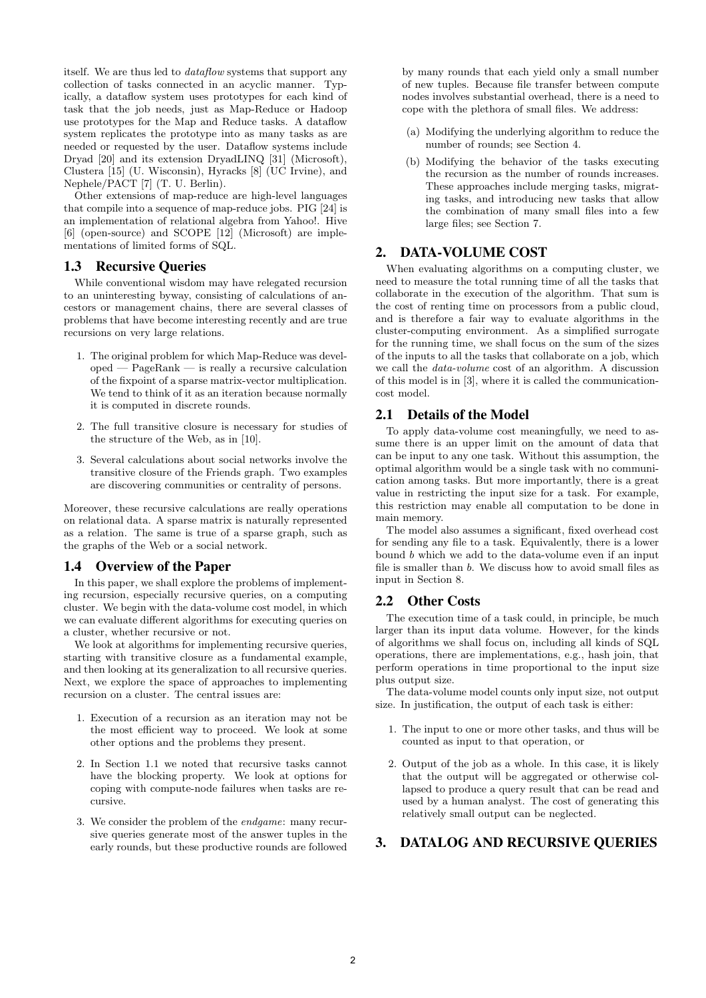itself. We are thus led to *dataflow* systems that support any collection of tasks connected in an acyclic manner. Typically, a dataflow system uses prototypes for each kind of task that the job needs, just as Map-Reduce or Hadoop use prototypes for the Map and Reduce tasks. A dataflow system replicates the prototype into as many tasks as are needed or requested by the user. Dataflow systems include Dryad [20] and its extension DryadLINQ [31] (Microsoft), Clustera [15] (U. Wisconsin), Hyracks [8] (UC Irvine), and Nephele/PACT [7] (T. U. Berlin).

Other extensions of map-reduce are high-level languages that compile into a sequence of map-reduce jobs. PIG [24] is an implementation of relational algebra from Yahoo!. Hive [6] (open-source) and SCOPE [12] (Microsoft) are implementations of limited forms of SQL.

# 1.3 Recursive Queries

While conventional wisdom may have relegated recursion to an uninteresting byway, consisting of calculations of ancestors or management chains, there are several classes of problems that have become interesting recently and are true recursions on very large relations.

- 1. The original problem for which Map-Reduce was developed — PageRank — is really a recursive calculation of the fixpoint of a sparse matrix-vector multiplication. We tend to think of it as an iteration because normally it is computed in discrete rounds.
- 2. The full transitive closure is necessary for studies of the structure of the Web, as in [10].
- 3. Several calculations about social networks involve the transitive closure of the Friends graph. Two examples are discovering communities or centrality of persons.

Moreover, these recursive calculations are really operations on relational data. A sparse matrix is naturally represented as a relation. The same is true of a sparse graph, such as the graphs of the Web or a social network.

# 1.4 Overview of the Paper

In this paper, we shall explore the problems of implementing recursion, especially recursive queries, on a computing cluster. We begin with the data-volume cost model, in which we can evaluate different algorithms for executing queries on a cluster, whether recursive or not.

We look at algorithms for implementing recursive queries, starting with transitive closure as a fundamental example, and then looking at its generalization to all recursive queries. Next, we explore the space of approaches to implementing recursion on a cluster. The central issues are:

- 1. Execution of a recursion as an iteration may not be the most efficient way to proceed. We look at some other options and the problems they present.
- 2. In Section 1.1 we noted that recursive tasks cannot have the blocking property. We look at options for coping with compute-node failures when tasks are recursive.
- 3. We consider the problem of the *endgame*: many recursive queries generate most of the answer tuples in the early rounds, but these productive rounds are followed

by many rounds that each yield only a small number of new tuples. Because file transfer between compute nodes involves substantial overhead, there is a need to cope with the plethora of small files. We address:

- (a) Modifying the underlying algorithm to reduce the number of rounds; see Section 4.
- (b) Modifying the behavior of the tasks executing the recursion as the number of rounds increases. These approaches include merging tasks, migrating tasks, and introducing new tasks that allow the combination of many small files into a few large files; see Section 7.

# 2. DATA-VOLUME COST

When evaluating algorithms on a computing cluster, we need to measure the total running time of all the tasks that collaborate in the execution of the algorithm. That sum is the cost of renting time on processors from a public cloud, and is therefore a fair way to evaluate algorithms in the cluster-computing environment. As a simplified surrogate for the running time, we shall focus on the sum of the sizes of the inputs to all the tasks that collaborate on a job, which we call the *data-volume* cost of an algorithm. A discussion of this model is in [3], where it is called the communicationcost model.

# 2.1 Details of the Model

To apply data-volume cost meaningfully, we need to assume there is an upper limit on the amount of data that can be input to any one task. Without this assumption, the optimal algorithm would be a single task with no communication among tasks. But more importantly, there is a great value in restricting the input size for a task. For example, this restriction may enable all computation to be done in main memory.

The model also assumes a significant, fixed overhead cost for sending any file to a task. Equivalently, there is a lower bound *b* which we add to the data-volume even if an input file is smaller than *b*. We discuss how to avoid small files as input in Section 8.

# 2.2 Other Costs

The execution time of a task could, in principle, be much larger than its input data volume. However, for the kinds of algorithms we shall focus on, including all kinds of SQL operations, there are implementations, e.g., hash join, that perform operations in time proportional to the input size plus output size.

The data-volume model counts only input size, not output size. In justification, the output of each task is either:

- 1. The input to one or more other tasks, and thus will be counted as input to that operation, or
- 2. Output of the job as a whole. In this case, it is likely that the output will be aggregated or otherwise collapsed to produce a query result that can be read and used by a human analyst. The cost of generating this relatively small output can be neglected.

# 3. DATALOG AND RECURSIVE QUERIES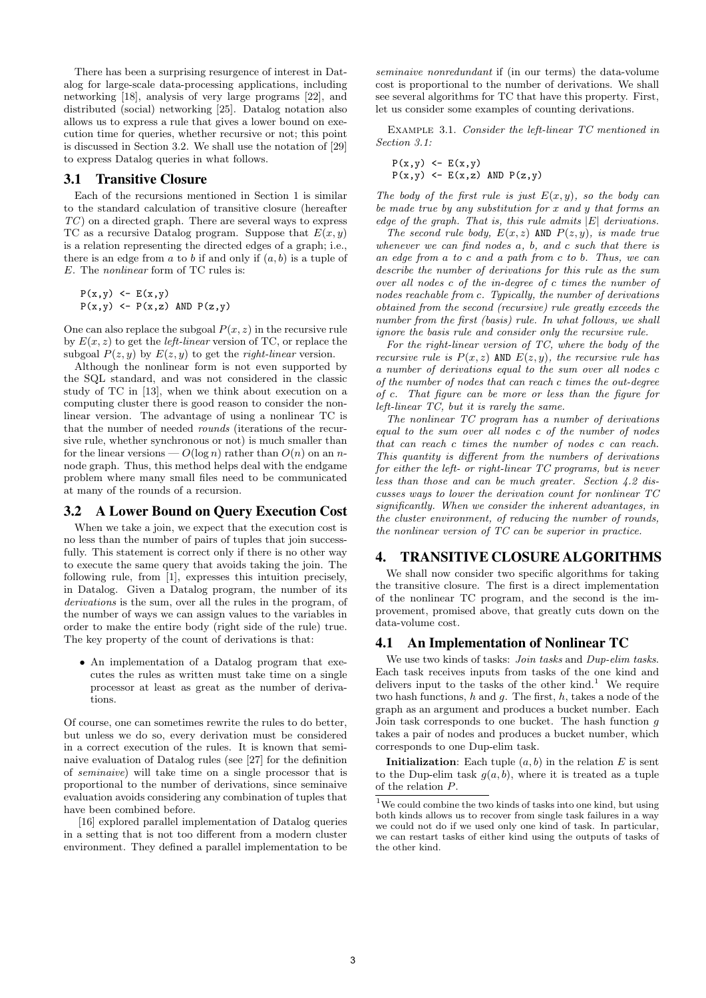There has been a surprising resurgence of interest in Datalog for large-scale data-processing applications, including networking [18], analysis of very large programs [22], and distributed (social) networking [25]. Datalog notation also allows us to express a rule that gives a lower bound on execution time for queries, whether recursive or not; this point is discussed in Section 3.2. We shall use the notation of [29] to express Datalog queries in what follows.

### 3.1 Transitive Closure

Each of the recursions mentioned in Section 1 is similar to the standard calculation of transitive closure (hereafter *TC*) on a directed graph. There are several ways to express TC as a recursive Datalog program. Suppose that *E*(*x, y*) is a relation representing the directed edges of a graph; i.e., there is an edge from  $a$  to  $b$  if and only if  $(a, b)$  is a tuple of *E*. The *nonlinear* form of TC rules is:

 $P(x,y) \leftarrow E(x,y)$  $P(x,y) \leftarrow P(x,z)$  AND  $P(z,y)$ 

One can also replace the subgoal  $P(x, z)$  in the recursive rule by *E*(*x, z*) to get the *left-linear* version of TC, or replace the subgoal  $P(z, y)$  by  $E(z, y)$  to get the *right-linear* version.

Although the nonlinear form is not even supported by the SQL standard, and was not considered in the classic study of TC in [13], when we think about execution on a computing cluster there is good reason to consider the nonlinear version. The advantage of using a nonlinear TC is that the number of needed *rounds* (iterations of the recursive rule, whether synchronous or not) is much smaller than for the linear versions  $O(\log n)$  rather than  $O(n)$  on an *n*node graph. Thus, this method helps deal with the endgame problem where many small files need to be communicated at many of the rounds of a recursion.

#### 3.2 A Lower Bound on Query Execution Cost

When we take a join, we expect that the execution cost is no less than the number of pairs of tuples that join successfully. This statement is correct only if there is no other way to execute the same query that avoids taking the join. The following rule, from [1], expresses this intuition precisely, in Datalog. Given a Datalog program, the number of its *derivations* is the sum, over all the rules in the program, of the number of ways we can assign values to the variables in order to make the entire body (right side of the rule) true. The key property of the count of derivations is that:

• An implementation of a Datalog program that executes the rules as written must take time on a single processor at least as great as the number of derivations.

Of course, one can sometimes rewrite the rules to do better but unless we do so, every derivation must be considered in a correct execution of the rules. It is known that seminaive evaluation of Datalog rules (see [27] for the definition of *seminaive*) will take time on a single processor that is proportional to the number of derivations, since seminaive evaluation avoids considering any combination of tuples that have been combined before.

[16] explored parallel implementation of Datalog queries in a setting that is not too different from a modern cluster environment. They defined a parallel implementation to be

*seminaive nonredundant* if (in our terms) the data-volume cost is proportional to the number of derivations. We shall see several algorithms for TC that have this property. First, let us consider some examples of counting derivations.

Example 3.1. *Consider the left-linear TC mentioned in Section 3.1:*

$$
P(x,y) \leftarrow E(x,y)
$$
  
 
$$
P(x,y) \leftarrow E(x,z) \text{ AND } P(z,y)
$$

*The body of the first rule is just*  $E(x, y)$ *, so the body can be made true by any substitution for x and y that forms an edge of the graph. That is, this rule admits |E| derivations.*

*The second rule body,*  $E(x, z)$  AND  $P(z, y)$ *, is made true whenever we can find nodes a, b, and c such that there is an edge from a to c and a path from c to b. Thus, we can describe the number of derivations for this rule as the sum over all nodes c of the in-degree of c times the number of nodes reachable from c. Typically, the number of derivations obtained from the second (recursive) rule greatly exceeds the number from the first (basis) rule. In what follows, we shall ignore the basis rule and consider only the recursive rule.*

*For the right-linear version of TC, where the body of the recursive rule is*  $P(x, z)$  AND  $E(z, y)$ *, the recursive rule has a number of derivations equal to the sum over all nodes c of the number of nodes that can reach c times the out-degree of c. That figure can be more or less than the figure for left-linear TC, but it is rarely the same.*

*The nonlinear TC program has a number of derivations equal to the sum over all nodes c of the number of nodes that can reach c times the number of nodes c can reach. This quantity is different from the numbers of derivations for either the left- or right-linear TC programs, but is never less than those and can be much greater. Section 4.2 discusses ways to lower the derivation count for nonlinear TC significantly. When we consider the inherent advantages, in the cluster environment, of reducing the number of rounds, the nonlinear version of TC can be superior in practice.*

#### 4. TRANSITIVE CLOSURE ALGORITHMS

We shall now consider two specific algorithms for taking the transitive closure. The first is a direct implementation of the nonlinear TC program, and the second is the improvement, promised above, that greatly cuts down on the data-volume cost.

#### 4.1 An Implementation of Nonlinear TC

We use two kinds of tasks: *Join tasks* and *Dup-elim tasks*. Each task receives inputs from tasks of the one kind and delivers input to the tasks of the other kind.<sup>1</sup> We require two hash functions, *h* and *g*. The first, *h*, takes a node of the graph as an argument and produces a bucket number. Each Join task corresponds to one bucket. The hash function *g* takes a pair of nodes and produces a bucket number, which corresponds to one Dup-elim task.

**Initialization:** Each tuple  $(a, b)$  in the relation  $E$  is sent to the Dup-elim task  $g(a, b)$ , where it is treated as a tuple of the relation *P*.

 $^{\rm 1}{\rm We}$  could combine the two kinds of tasks into one kind, but using both kinds allows us to recover from single task failures in a way we could not do if we used only one kind of task. In particular, we can restart tasks of either kind using the outputs of tasks of the other kind.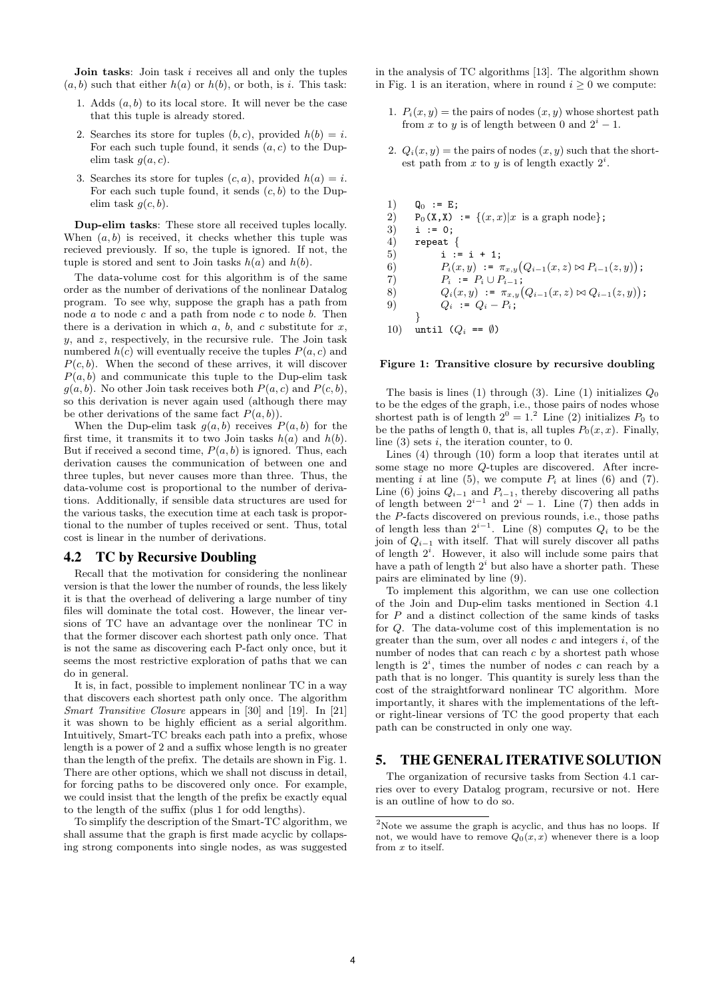**Join tasks**: Join task *i* receives all and only the tuples  $(a, b)$  such that either  $h(a)$  or  $h(b)$ , or both, is *i*. This task:

- 1. Adds (*a, b*) to its local store. It will never be the case that this tuple is already stored.
- 2. Searches its store for tuples  $(b, c)$ , provided  $h(b) = i$ . For each such tuple found, it sends  $(a, c)$  to the Dupelim task  $g(a, c)$ .
- 3. Searches its store for tuples  $(c, a)$ , provided  $h(a) = i$ . For each such tuple found, it sends  $(c, b)$  to the Dupelim task  $q(c, b)$ .

**Dup-elim tasks**: These store all received tuples locally. When  $(a, b)$  is received, it checks whether this tuple was recieved previously. If so, the tuple is ignored. If not, the tuple is stored and sent to Join tasks  $h(a)$  and  $h(b)$ .

The data-volume cost for this algorithm is of the same order as the number of derivations of the nonlinear Datalog program. To see why, suppose the graph has a path from node *a* to node *c* and a path from node *c* to node *b*. Then there is a derivation in which  $a, b$ , and  $c$  substitute for  $x$ , *y*, and *z*, respectively, in the recursive rule. The Join task numbered  $h(c)$  will eventually receive the tuples  $P(a, c)$  and  $P(c, b)$ . When the second of these arrives, it will discover  $P(a, b)$  and communicate this tuple to the Dup-elim task  $g(a, b)$ . No other Join task receives both  $P(a, c)$  and  $P(c, b)$ , so this derivation is never again used (although there may be other derivations of the same fact  $P(a, b)$ .

When the Dup-elim task  $g(a, b)$  receives  $P(a, b)$  for the first time, it transmits it to two Join tasks  $h(a)$  and  $h(b)$ . But if received a second time,  $P(a, b)$  is ignored. Thus, each derivation causes the communication of between one and three tuples, but never causes more than three. Thus, the data-volume cost is proportional to the number of derivations. Additionally, if sensible data structures are used for the various tasks, the execution time at each task is proportional to the number of tuples received or sent. Thus, total cost is linear in the number of derivations.

#### 4.2 TC by Recursive Doubling

Recall that the motivation for considering the nonlinear version is that the lower the number of rounds, the less likely it is that the overhead of delivering a large number of tiny files will dominate the total cost. However, the linear versions of TC have an advantage over the nonlinear TC in that the former discover each shortest path only once. That is not the same as discovering each P-fact only once, but it seems the most restrictive exploration of paths that we can do in general.

It is, in fact, possible to implement nonlinear TC in a way that discovers each shortest path only once. The algorithm *Smart Transitive Closure* appears in [30] and [19]. In [21] it was shown to be highly efficient as a serial algorithm. Intuitively, Smart-TC breaks each path into a prefix, whose length is a power of 2 and a suffix whose length is no greater than the length of the prefix. The details are shown in Fig. 1. There are other options, which we shall not discuss in detail, for forcing paths to be discovered only once. For example, we could insist that the length of the prefix be exactly equal to the length of the suffix (plus 1 for odd lengths).

To simplify the description of the Smart-TC algorithm, we shall assume that the graph is first made acyclic by collapsing strong components into single nodes, as was suggested in the analysis of TC algorithms [13]. The algorithm shown in Fig. 1 is an iteration, where in round  $i \geq 0$  we compute:

- 1.  $P_i(x, y) =$  the pairs of nodes  $(x, y)$  whose shortest path from *x* to *y* is of length between 0 and  $2^{i} - 1$ .
- 2.  $Q_i(x, y)$  = the pairs of nodes  $(x, y)$  such that the shortest path from  $x$  to  $y$  is of length exactly  $2^i$ .
- 1)  $Q_0 := E$ ;<br>2)  $P_0(X,X)$ 2) P<sub>0</sub>(X,X) := { $(x, x)|x$  is a graph node};<br>3) i := 0;  $i := 0;$ 4) repeat *{* 5)  $i := i + 1;$ <br>6)  $P_i(x, y) := 7$ 6)  $P_i(x, y) := \pi_{x,y}(Q_{i-1}(x, z) \bowtie P_{i-1}(z, y));$ 7)  $P_i := P_i \cup P_{i-1};$ <br>8)  $Q_i(x, y) := \pi_{x, y}($ 8)  $Q_i(x, y) := \pi_{x, y}(Q_{i-1}(x, z) \bowtie Q_{i-1}(z, y));$ 9) *Q<sup>i</sup>* := *Q<sup>i</sup> − Pi*; *}* 10) until (*Q<sup>i</sup>* == *∅*)

#### **Figure 1: Transitive closure by recursive doubling**

The basis is lines (1) through (3). Line (1) initializes  $Q_0$ to be the edges of the graph, i.e., those pairs of nodes whose shortest path is of length  $2^0 = 1$ <sup>2</sup> Line (2) initializes  $P_0$  to be the paths of length 0, that is, all tuples  $P_0(x, x)$ . Finally, line (3) sets *i*, the iteration counter, to 0.

Lines (4) through (10) form a loop that iterates until at some stage no more *Q*-tuples are discovered. After incrementing *i* at line (5), we compute  $P_i$  at lines (6) and (7). Line (6) joins  $Q_{i-1}$  and  $P_{i-1}$ , thereby discovering all paths of length between  $2^{i-1}$  and  $2^{i}$  − 1. Line (7) then adds in the *P*-facts discovered on previous rounds, i.e., those paths of length less than  $2^{i-1}$ . Line (8) computes  $Q_i$  to be the join of *Q<sup>i</sup>−*<sup>1</sup> with itself. That will surely discover all paths of length 2*<sup>i</sup>* . However, it also will include some pairs that have a path of length  $2<sup>i</sup>$  but also have a shorter path. These pairs are eliminated by line (9).

To implement this algorithm, we can use one collection of the Join and Dup-elim tasks mentioned in Section 4.1 for *P* and a distinct collection of the same kinds of tasks for *Q*. The data-volume cost of this implementation is no greater than the sum, over all nodes *c* and integers *i*, of the number of nodes that can reach *c* by a shortest path whose length is  $2^i$ , times the number of nodes  $c$  can reach by a path that is no longer. This quantity is surely less than the cost of the straightforward nonlinear TC algorithm. More importantly, it shares with the implementations of the leftor right-linear versions of TC the good property that each path can be constructed in only one way.

### 5. THE GENERAL ITERATIVE SOLUTION

The organization of recursive tasks from Section 4.1 carries over to every Datalog program, recursive or not. Here is an outline of how to do so.

 $2$ Note we assume the graph is acyclic, and thus has no loops. If not, we would have to remove  $Q_0(x, x)$  whenever there is a loop from *x* to itself.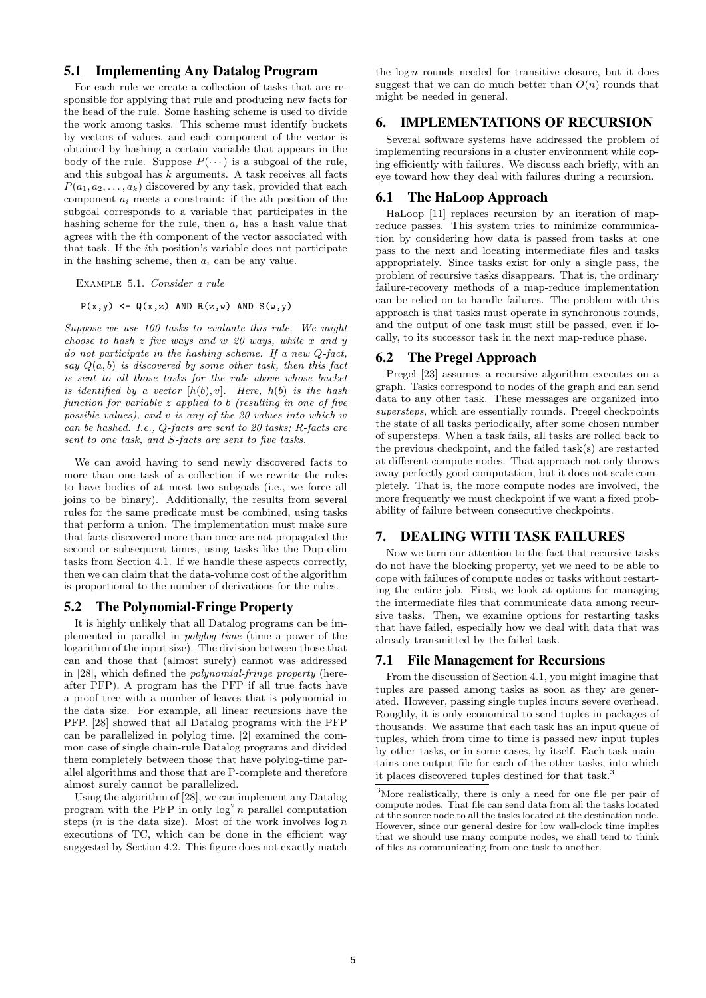# 5.1 Implementing Any Datalog Program

For each rule we create a collection of tasks that are responsible for applying that rule and producing new facts for the head of the rule. Some hashing scheme is used to divide the work among tasks. This scheme must identify buckets by vectors of values, and each component of the vector is obtained by hashing a certain variable that appears in the body of the rule. Suppose  $P(\cdots)$  is a subgoal of the rule, and this subgoal has *k* arguments. A task receives all facts  $P(a_1, a_2, \ldots, a_k)$  discovered by any task, provided that each component *a<sup>i</sup>* meets a constraint: if the *i*th position of the subgoal corresponds to a variable that participates in the hashing scheme for the rule, then *a<sup>i</sup>* has a hash value that agrees with the *i*th component of the vector associated with that task. If the *i*th position's variable does not participate in the hashing scheme, then *a<sup>i</sup>* can be any value.

Example 5.1. *Consider a rule*

 $P(x,y)$  <-  $Q(x,z)$  AND  $R(z,w)$  AND  $S(w,y)$ 

*Suppose we use 100 tasks to evaluate this rule. We might choose to hash z five ways and w 20 ways, while x and y do not participate in the hashing scheme. If a new Q-fact, say Q*(*a, b*) *is discovered by some other task, then this fact is sent to all those tasks for the rule above whose bucket is identified by a vector*  $[h(b), v]$ *. Here,*  $h(b)$  *is the hash function for variable z applied to b (resulting in one of five possible values), and v is any of the 20 values into which w can be hashed. I.e., Q-facts are sent to 20 tasks; R-facts are sent to one task, and S-facts are sent to five tasks.*

We can avoid having to send newly discovered facts to more than one task of a collection if we rewrite the rules to have bodies of at most two subgoals (i.e., we force all joins to be binary). Additionally, the results from several rules for the same predicate must be combined, using tasks that perform a union. The implementation must make sure that facts discovered more than once are not propagated the second or subsequent times, using tasks like the Dup-elim tasks from Section 4.1. If we handle these aspects correctly, then we can claim that the data-volume cost of the algorithm is proportional to the number of derivations for the rules.

#### 5.2 The Polynomial-Fringe Property

It is highly unlikely that all Datalog programs can be implemented in parallel in *polylog time* (time a power of the logarithm of the input size). The division between those that can and those that (almost surely) cannot was addressed in [28], which defined the *polynomial-fringe property* (hereafter PFP). A program has the PFP if all true facts have a proof tree with a number of leaves that is polynomial in the data size. For example, all linear recursions have the PFP. [28] showed that all Datalog programs with the PFP can be parallelized in polylog time. [2] examined the common case of single chain-rule Datalog programs and divided them completely between those that have polylog-time parallel algorithms and those that are P-complete and therefore almost surely cannot be parallelized.

Using the algorithm of [28], we can implement any Datalog program with the PFP in only  $\log^2 n$  parallel computation steps ( $n$  is the data size). Most of the work involves  $\log n$ executions of TC, which can be done in the efficient way suggested by Section 4.2. This figure does not exactly match

the  $\log n$  rounds needed for transitive closure, but it does suggest that we can do much better than  $O(n)$  rounds that might be needed in general.

# 6. IMPLEMENTATIONS OF RECURSION

Several software systems have addressed the problem of implementing recursions in a cluster environment while coping efficiently with failures. We discuss each briefly, with an eye toward how they deal with failures during a recursion.

### 6.1 The HaLoop Approach

HaLoop [11] replaces recursion by an iteration of mapreduce passes. This system tries to minimize communication by considering how data is passed from tasks at one pass to the next and locating intermediate files and tasks appropriately. Since tasks exist for only a single pass, the problem of recursive tasks disappears. That is, the ordinary failure-recovery methods of a map-reduce implementation can be relied on to handle failures. The problem with this approach is that tasks must operate in synchronous rounds, and the output of one task must still be passed, even if locally, to its successor task in the next map-reduce phase.

#### 6.2 The Pregel Approach

Pregel [23] assumes a recursive algorithm executes on a graph. Tasks correspond to nodes of the graph and can send data to any other task. These messages are organized into *supersteps*, which are essentially rounds. Pregel checkpoints the state of all tasks periodically, after some chosen number of supersteps. When a task fails, all tasks are rolled back to the previous checkpoint, and the failed task(s) are restarted at different compute nodes. That approach not only throws away perfectly good computation, but it does not scale completely. That is, the more compute nodes are involved, the more frequently we must checkpoint if we want a fixed probability of failure between consecutive checkpoints.

# 7. DEALING WITH TASK FAILURES

Now we turn our attention to the fact that recursive tasks do not have the blocking property, yet we need to be able to cope with failures of compute nodes or tasks without restarting the entire job. First, we look at options for managing the intermediate files that communicate data among recursive tasks. Then, we examine options for restarting tasks that have failed, especially how we deal with data that was already transmitted by the failed task.

# 7.1 File Management for Recursions

From the discussion of Section 4.1, you might imagine that tuples are passed among tasks as soon as they are generated. However, passing single tuples incurs severe overhead. Roughly, it is only economical to send tuples in packages of thousands. We assume that each task has an input queue of tuples, which from time to time is passed new input tuples by other tasks, or in some cases, by itself. Each task maintains one output file for each of the other tasks, into which it places discovered tuples destined for that task.<sup>3</sup>

<sup>3</sup>More realistically, there is only a need for one file per pair of compute nodes. That file can send data from all the tasks located at the source node to all the tasks located at the destination node. However, since our general desire for low wall-clock time implies that we should use many compute nodes, we shall tend to think of files as communicating from one task to another.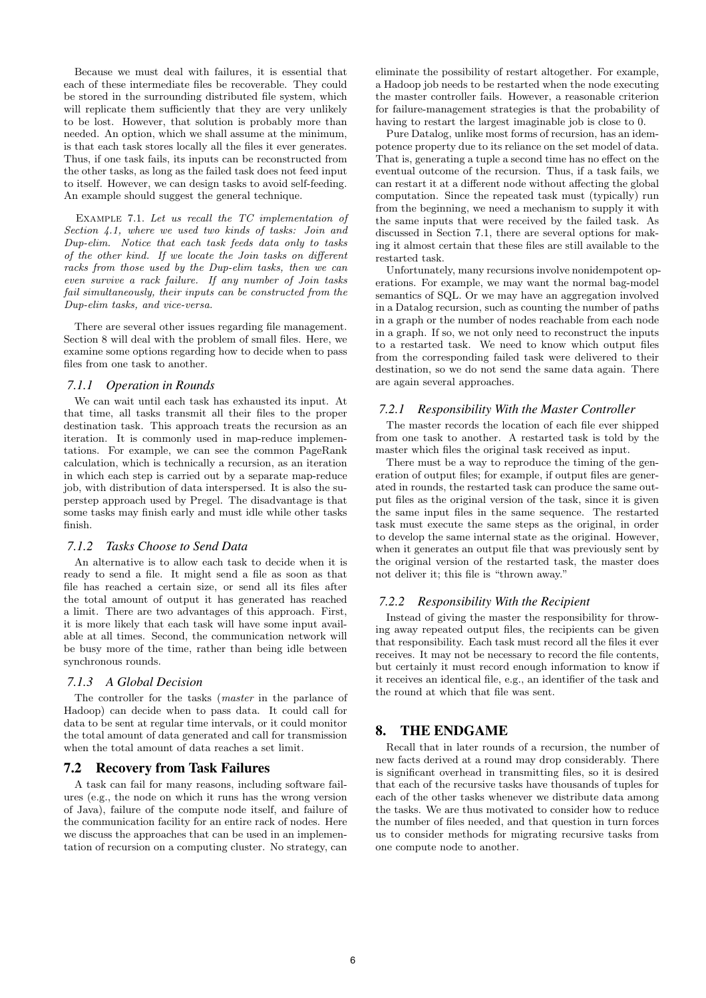Because we must deal with failures, it is essential that each of these intermediate files be recoverable. They could be stored in the surrounding distributed file system, which will replicate them sufficiently that they are very unlikely to be lost. However, that solution is probably more than needed. An option, which we shall assume at the minimum, is that each task stores locally all the files it ever generates. Thus, if one task fails, its inputs can be reconstructed from the other tasks, as long as the failed task does not feed input to itself. However, we can design tasks to avoid self-feeding. An example should suggest the general technique.

Example 7.1. *Let us recall the TC implementation of Section 4.1, where we used two kinds of tasks: Join and Dup-elim. Notice that each task feeds data only to tasks of the other kind. If we locate the Join tasks on different racks from those used by the Dup-elim tasks, then we can even survive a rack failure. If any number of Join tasks fail simultaneously, their inputs can be constructed from the Dup-elim tasks, and vice-versa.*

There are several other issues regarding file management. Section 8 will deal with the problem of small files. Here, we examine some options regarding how to decide when to pass files from one task to another.

#### *7.1.1 Operation in Rounds*

We can wait until each task has exhausted its input. At that time, all tasks transmit all their files to the proper destination task. This approach treats the recursion as an iteration. It is commonly used in map-reduce implementations. For example, we can see the common PageRank calculation, which is technically a recursion, as an iteration in which each step is carried out by a separate map-reduce job, with distribution of data interspersed. It is also the superstep approach used by Pregel. The disadvantage is that some tasks may finish early and must idle while other tasks finish.

#### *7.1.2 Tasks Choose to Send Data*

An alternative is to allow each task to decide when it is ready to send a file. It might send a file as soon as that file has reached a certain size, or send all its files after the total amount of output it has generated has reached a limit. There are two advantages of this approach. First, it is more likely that each task will have some input available at all times. Second, the communication network will be busy more of the time, rather than being idle between synchronous rounds.

#### *7.1.3 A Global Decision*

The controller for the tasks (*master* in the parlance of Hadoop) can decide when to pass data. It could call for data to be sent at regular time intervals, or it could monitor the total amount of data generated and call for transmission when the total amount of data reaches a set limit.

# 7.2 Recovery from Task Failures

A task can fail for many reasons, including software failures (e.g., the node on which it runs has the wrong version of Java), failure of the compute node itself, and failure of the communication facility for an entire rack of nodes. Here we discuss the approaches that can be used in an implementation of recursion on a computing cluster. No strategy, can

eliminate the possibility of restart altogether. For example, a Hadoop job needs to be restarted when the node executing the master controller fails. However, a reasonable criterion for failure-management strategies is that the probability of having to restart the largest imaginable job is close to 0.

Pure Datalog, unlike most forms of recursion, has an idempotence property due to its reliance on the set model of data. That is, generating a tuple a second time has no effect on the eventual outcome of the recursion. Thus, if a task fails, we can restart it at a different node without affecting the global computation. Since the repeated task must (typically) run from the beginning, we need a mechanism to supply it with the same inputs that were received by the failed task. As discussed in Section 7.1, there are several options for making it almost certain that these files are still available to the restarted task.

Unfortunately, many recursions involve nonidempotent operations. For example, we may want the normal bag-model semantics of SQL. Or we may have an aggregation involved in a Datalog recursion, such as counting the number of paths in a graph or the number of nodes reachable from each node in a graph. If so, we not only need to reconstruct the inputs to a restarted task. We need to know which output files from the corresponding failed task were delivered to their destination, so we do not send the same data again. There are again several approaches.

#### *7.2.1 Responsibility With the Master Controller*

The master records the location of each file ever shipped from one task to another. A restarted task is told by the master which files the original task received as input.

There must be a way to reproduce the timing of the generation of output files; for example, if output files are generated in rounds, the restarted task can produce the same output files as the original version of the task, since it is given the same input files in the same sequence. The restarted task must execute the same steps as the original, in order to develop the same internal state as the original. However, when it generates an output file that was previously sent by the original version of the restarted task, the master does not deliver it; this file is "thrown away."

#### *7.2.2 Responsibility With the Recipient*

Instead of giving the master the responsibility for throwing away repeated output files, the recipients can be given that responsibility. Each task must record all the files it ever receives. It may not be necessary to record the file contents, but certainly it must record enough information to know if it receives an identical file, e.g., an identifier of the task and the round at which that file was sent.

### 8. THE ENDGAME

Recall that in later rounds of a recursion, the number of new facts derived at a round may drop considerably. There is significant overhead in transmitting files, so it is desired that each of the recursive tasks have thousands of tuples for each of the other tasks whenever we distribute data among the tasks. We are thus motivated to consider how to reduce the number of files needed, and that question in turn forces us to consider methods for migrating recursive tasks from one compute node to another.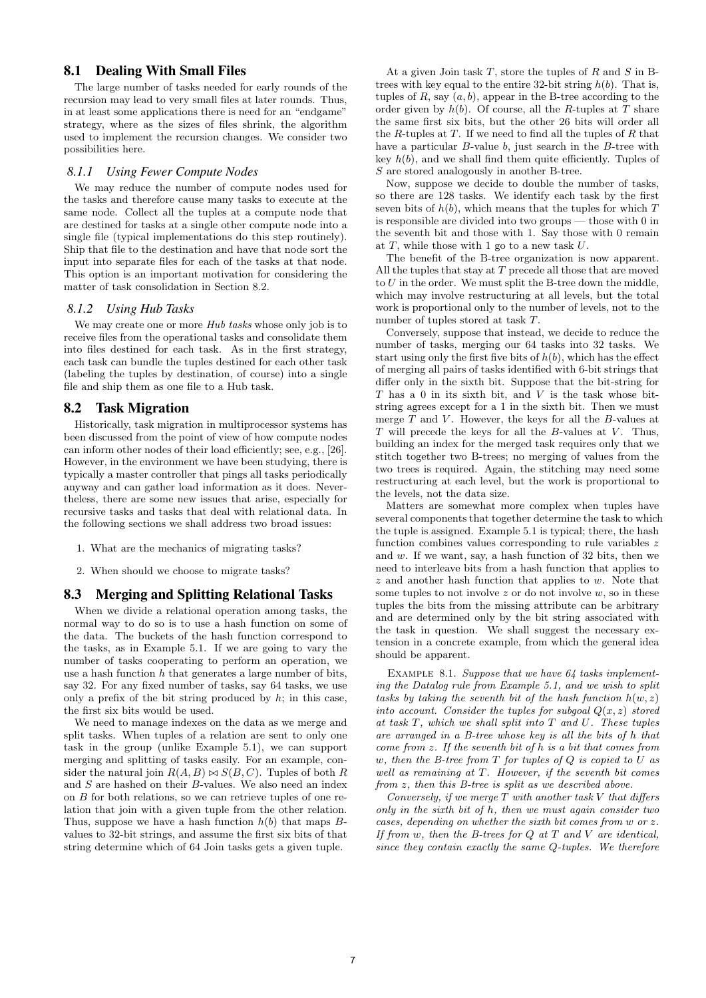# 8.1 Dealing With Small Files

The large number of tasks needed for early rounds of the recursion may lead to very small files at later rounds. Thus, in at least some applications there is need for an "endgame" strategy, where as the sizes of files shrink, the algorithm used to implement the recursion changes. We consider two possibilities here.

#### *8.1.1 Using Fewer Compute Nodes*

We may reduce the number of compute nodes used for the tasks and therefore cause many tasks to execute at the same node. Collect all the tuples at a compute node that are destined for tasks at a single other compute node into a single file (typical implementations do this step routinely). Ship that file to the destination and have that node sort the input into separate files for each of the tasks at that node. This option is an important motivation for considering the matter of task consolidation in Section 8.2.

#### *8.1.2 Using Hub Tasks*

We may create one or more *Hub tasks* whose only job is to receive files from the operational tasks and consolidate them into files destined for each task. As in the first strategy, each task can bundle the tuples destined for each other task (labeling the tuples by destination, of course) into a single file and ship them as one file to a Hub task.

### 8.2 Task Migration

Historically, task migration in multiprocessor systems has been discussed from the point of view of how compute nodes can inform other nodes of their load efficiently; see, e.g., [26]. However, in the environment we have been studying, there is typically a master controller that pings all tasks periodically anyway and can gather load information as it does. Nevertheless, there are some new issues that arise, especially for recursive tasks and tasks that deal with relational data. In the following sections we shall address two broad issues:

- 1. What are the mechanics of migrating tasks?
- 2. When should we choose to migrate tasks?

#### 8.3 Merging and Splitting Relational Tasks

When we divide a relational operation among tasks, the normal way to do so is to use a hash function on some of the data. The buckets of the hash function correspond to the tasks, as in Example 5.1. If we are going to vary the number of tasks cooperating to perform an operation, we use a hash function *h* that generates a large number of bits, say 32. For any fixed number of tasks, say 64 tasks, we use only a prefix of the bit string produced by *h*; in this case, the first six bits would be used.

We need to manage indexes on the data as we merge and split tasks. When tuples of a relation are sent to only one task in the group (unlike Example 5.1), we can support merging and splitting of tasks easily. For an example, consider the natural join  $R(A, B) \bowtie S(B, C)$ . Tuples of both *R* and *S* are hashed on their *B*-values. We also need an index on *B* for both relations, so we can retrieve tuples of one relation that join with a given tuple from the other relation. Thus, suppose we have a hash function *h*(*b*) that maps *B*values to 32-bit strings, and assume the first six bits of that string determine which of 64 Join tasks gets a given tuple.

At a given Join task *T*, store the tuples of *R* and *S* in Btrees with key equal to the entire 32-bit string  $h(b)$ . That is, tuples of  $R$ , say  $(a, b)$ , appear in the B-tree according to the order given by  $h(b)$ . Of course, all the *R*-tuples at *T* share the same first six bits, but the other 26 bits will order all the *R*-tuples at *T*. If we need to find all the tuples of *R* that have a particular *B*-value *b*, just search in the *B*-tree with key  $h(b)$ , and we shall find them quite efficiently. Tuples of *S* are stored analogously in another B-tree.

Now, suppose we decide to double the number of tasks, so there are 128 tasks. We identify each task by the first seven bits of  $h(b)$ , which means that the tuples for which  $T$ is responsible are divided into two groups — those with 0 in the seventh bit and those with 1. Say those with 0 remain at *T*, while those with 1 go to a new task *U*.

The benefit of the B-tree organization is now apparent. All the tuples that stay at *T* precede all those that are moved to *U* in the order. We must split the B-tree down the middle, which may involve restructuring at all levels, but the total work is proportional only to the number of levels, not to the number of tuples stored at task *T*.

Conversely, suppose that instead, we decide to reduce the number of tasks, merging our 64 tasks into 32 tasks. We start using only the first five bits of  $h(b)$ , which has the effect of merging all pairs of tasks identified with 6-bit strings that differ only in the sixth bit. Suppose that the bit-string for *T* has a 0 in its sixth bit, and *V* is the task whose bitstring agrees except for a 1 in the sixth bit. Then we must merge *T* and *V*. However, the keys for all the *B*-values at *T* will precede the keys for all the *B*-values at *V*. Thus, building an index for the merged task requires only that we stitch together two B-trees; no merging of values from the two trees is required. Again, the stitching may need some restructuring at each level, but the work is proportional to the levels, not the data size.

Matters are somewhat more complex when tuples have several components that together determine the task to which the tuple is assigned. Example 5.1 is typical; there, the hash function combines values corresponding to rule variables *z* and *w*. If we want, say, a hash function of 32 bits, then we need to interleave bits from a hash function that applies to *z* and another hash function that applies to *w*. Note that some tuples to not involve  $z$  or do not involve  $w$ , so in these tuples the bits from the missing attribute can be arbitrary and are determined only by the bit string associated with the task in question. We shall suggest the necessary extension in a concrete example, from which the general idea should be apparent.

Example 8.1. *Suppose that we have 64 tasks implementing the Datalog rule from Example 5.1, and we wish to split tasks by taking the seventh bit of the hash function*  $h(w, z)$ *into account.* Consider the tuples for subgoal  $Q(x, z)$  stored *at task T, which we shall split into T and U. These tuples are arranged in a B-tree whose key is all the bits of h that come from z. If the seventh bit of h is a bit that comes from w, then the B-tree from T for tuples of Q is copied to U as well as remaining at T. However, if the seventh bit comes from z, then this B-tree is split as we described above.*

*Conversely, if we merge T with another task V that differs only in the sixth bit of h, then we must again consider two cases, depending on whether the sixth bit comes from w or z. If from w, then the B-trees for Q at T and V are identical, since they contain exactly the same Q-tuples. We therefore*